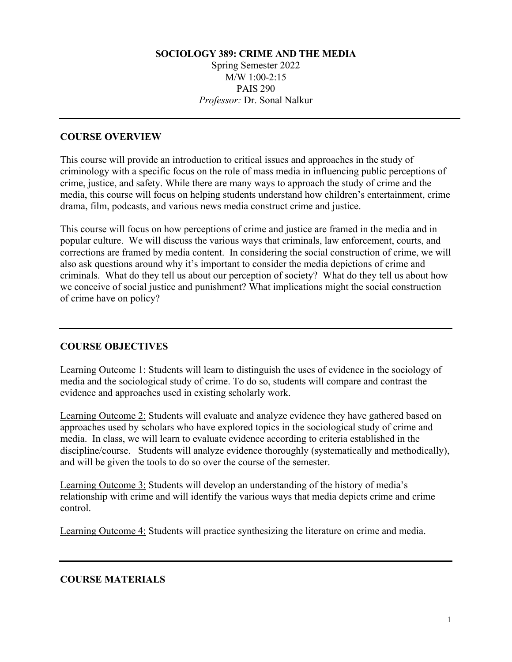## **SOCIOLOGY 389: CRIME AND THE MEDIA** Spring Semester 2022 M/W 1:00-2:15 PAIS 290 *Professor:* Dr. Sonal Nalkur

## **COURSE OVERVIEW**

This course will provide an introduction to critical issues and approaches in the study of criminology with a specific focus on the role of mass media in influencing public perceptions of crime, justice, and safety. While there are many ways to approach the study of crime and the media, this course will focus on helping students understand how children's entertainment, crime drama, film, podcasts, and various news media construct crime and justice.

This course will focus on how perceptions of crime and justice are framed in the media and in popular culture. We will discuss the various ways that criminals, law enforcement, courts, and corrections are framed by media content. In considering the social construction of crime, we will also ask questions around why it's important to consider the media depictions of crime and criminals. What do they tell us about our perception of society? What do they tell us about how we conceive of social justice and punishment? What implications might the social construction of crime have on policy?

### **COURSE OBJECTIVES**

Learning Outcome 1: Students will learn to distinguish the uses of evidence in the sociology of media and the sociological study of crime. To do so, students will compare and contrast the evidence and approaches used in existing scholarly work.

Learning Outcome 2: Students will evaluate and analyze evidence they have gathered based on approaches used by scholars who have explored topics in the sociological study of crime and media. In class, we will learn to evaluate evidence according to criteria established in the discipline/course. Students will analyze evidence thoroughly (systematically and methodically), and will be given the tools to do so over the course of the semester.

Learning Outcome 3: Students will develop an understanding of the history of media's relationship with crime and will identify the various ways that media depicts crime and crime control.

Learning Outcome 4: Students will practice synthesizing the literature on crime and media.

### **COURSE MATERIALS**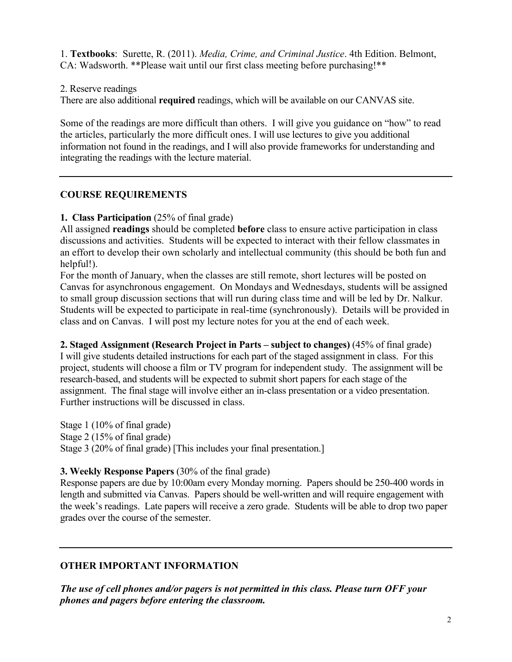1. **Textbooks**: Surette, R. (2011). *Media, Crime, and Criminal Justice*. 4th Edition. Belmont, CA: Wadsworth. \*\*Please wait until our first class meeting before purchasing!\*\*

2. Reserve readings

There are also additional **required** readings, which will be available on our CANVAS site.

Some of the readings are more difficult than others. I will give you guidance on "how" to read the articles, particularly the more difficult ones. I will use lectures to give you additional information not found in the readings, and I will also provide frameworks for understanding and integrating the readings with the lecture material.

#### **COURSE REQUIREMENTS**

#### **1. Class Participation** (25% of final grade)

All assigned **readings** should be completed **before** class to ensure active participation in class discussions and activities. Students will be expected to interact with their fellow classmates in an effort to develop their own scholarly and intellectual community (this should be both fun and helpful!).

For the month of January, when the classes are still remote, short lectures will be posted on Canvas for asynchronous engagement. On Mondays and Wednesdays, students will be assigned to small group discussion sections that will run during class time and will be led by Dr. Nalkur. Students will be expected to participate in real-time (synchronously). Details will be provided in class and on Canvas. I will post my lecture notes for you at the end of each week.

#### **2. Staged Assignment (Research Project in Parts – subject to changes)** (45% of final grade)

I will give students detailed instructions for each part of the staged assignment in class. For this project, students will choose a film or TV program for independent study. The assignment will be research-based, and students will be expected to submit short papers for each stage of the assignment. The final stage will involve either an in-class presentation or a video presentation. Further instructions will be discussed in class.

Stage 1 (10% of final grade) Stage 2 (15% of final grade) Stage 3 (20% of final grade) [This includes your final presentation.]

### **3. Weekly Response Papers** (30% of the final grade)

Response papers are due by 10:00am every Monday morning. Papers should be 250-400 words in length and submitted via Canvas. Papers should be well-written and will require engagement with the week's readings. Late papers will receive a zero grade. Students will be able to drop two paper grades over the course of the semester.

### **OTHER IMPORTANT INFORMATION**

*The use of cell phones and/or pagers is not permitted in this class. Please turn OFF your phones and pagers before entering the classroom.*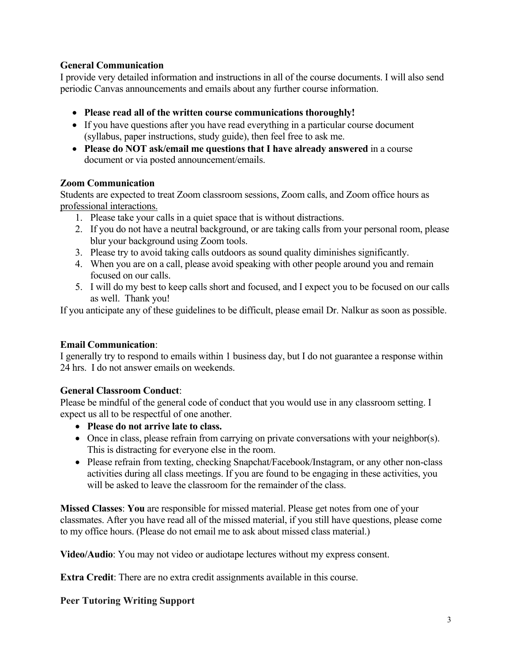### **General Communication**

I provide very detailed information and instructions in all of the course documents. I will also send periodic Canvas announcements and emails about any further course information.

- **Please read all of the written course communications thoroughly!**
- If you have questions after you have read everything in a particular course document (syllabus, paper instructions, study guide), then feel free to ask me.
- **Please do NOT ask/email me questions that I have already answered** in a course document or via posted announcement/emails.

## **Zoom Communication**

Students are expected to treat Zoom classroom sessions, Zoom calls, and Zoom office hours as professional interactions.

- 1. Please take your calls in a quiet space that is without distractions.
- 2. If you do not have a neutral background, or are taking calls from your personal room, please blur your background using Zoom tools.
- 3. Please try to avoid taking calls outdoors as sound quality diminishes significantly.
- 4. When you are on a call, please avoid speaking with other people around you and remain focused on our calls.
- 5. I will do my best to keep calls short and focused, and I expect you to be focused on our calls as well. Thank you!

If you anticipate any of these guidelines to be difficult, please email Dr. Nalkur as soon as possible.

## **Email Communication**:

I generally try to respond to emails within 1 business day, but I do not guarantee a response within 24 hrs. I do not answer emails on weekends.

## **General Classroom Conduct**:

Please be mindful of the general code of conduct that you would use in any classroom setting. I expect us all to be respectful of one another.

- **Please do not arrive late to class.**
- Once in class, please refrain from carrying on private conversations with your neighbor(s). This is distracting for everyone else in the room.
- Please refrain from texting, checking Snapchat/Facebook/Instagram, or any other non-class activities during all class meetings. If you are found to be engaging in these activities, you will be asked to leave the classroom for the remainder of the class.

**Missed Classes**: **You** are responsible for missed material. Please get notes from one of your classmates. After you have read all of the missed material, if you still have questions, please come to my office hours. (Please do not email me to ask about missed class material.)

**Video/Audio**: You may not video or audiotape lectures without my express consent.

**Extra Credit**: There are no extra credit assignments available in this course.

## **Peer Tutoring Writing Support**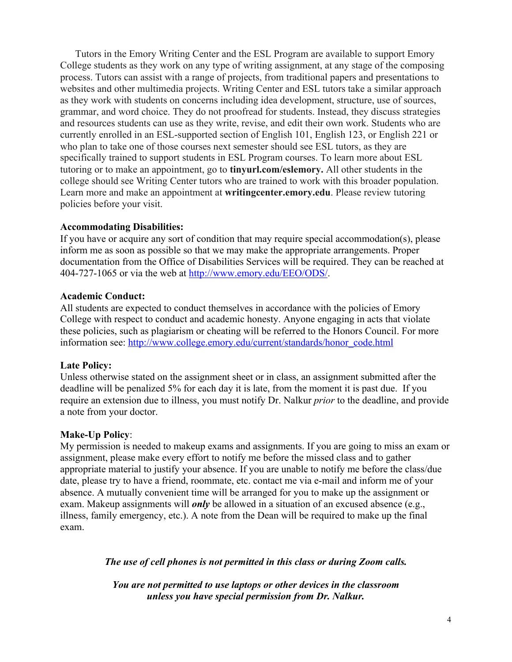Tutors in the Emory Writing Center and the ESL Program are available to support Emory College students as they work on any type of writing assignment, at any stage of the composing process. Tutors can assist with a range of projects, from traditional papers and presentations to websites and other multimedia projects. Writing Center and ESL tutors take a similar approach as they work with students on concerns including idea development, structure, use of sources, grammar, and word choice. They do not proofread for students. Instead, they discuss strategies and resources students can use as they write, revise, and edit their own work. Students who are currently enrolled in an ESL-supported section of English 101, English 123, or English 221 or who plan to take one of those courses next semester should see ESL tutors, as they are specifically trained to support students in ESL Program courses. To learn more about ESL tutoring or to make an appointment, go to **tinyurl.com/eslemory.** All other students in the college should see Writing Center tutors who are trained to work with this broader population. Learn more and make an appointment at **writingcenter.emory.edu**. Please review tutoring policies before your visit.

#### **Accommodating Disabilities:**

If you have or acquire any sort of condition that may require special accommodation(s), please inform me as soon as possible so that we may make the appropriate arrangements. Proper documentation from the Office of Disabilities Services will be required. They can be reached at 404-727-1065 or via the web at http://www.emory.edu/EEO/ODS/.

#### **Academic Conduct:**

All students are expected to conduct themselves in accordance with the policies of Emory College with respect to conduct and academic honesty. Anyone engaging in acts that violate these policies, such as plagiarism or cheating will be referred to the Honors Council. For more information see: http://www.college.emory.edu/current/standards/honor\_code.html

### **Late Policy:**

Unless otherwise stated on the assignment sheet or in class, an assignment submitted after the deadline will be penalized 5% for each day it is late, from the moment it is past due. If you require an extension due to illness, you must notify Dr. Nalkur *prior* to the deadline, and provide a note from your doctor.

#### **Make-Up Policy**:

My permission is needed to makeup exams and assignments. If you are going to miss an exam or assignment, please make every effort to notify me before the missed class and to gather appropriate material to justify your absence. If you are unable to notify me before the class/due date, please try to have a friend, roommate, etc. contact me via e-mail and inform me of your absence. A mutually convenient time will be arranged for you to make up the assignment or exam. Makeup assignments will *only* be allowed in a situation of an excused absence (e.g., illness, family emergency, etc.). A note from the Dean will be required to make up the final exam.

*The use of cell phones is not permitted in this class or during Zoom calls.*

*You are not permitted to use laptops or other devices in the classroom unless you have special permission from Dr. Nalkur.*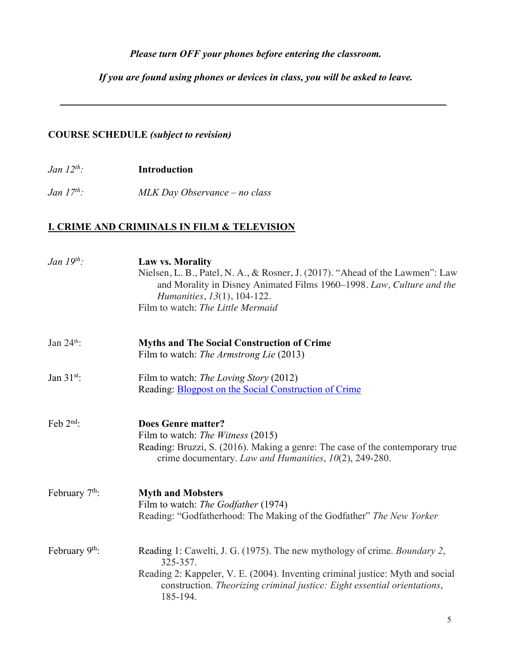## *Please turn OFF your phones before entering the classroom.*

*If you are found using phones or devices in class, you will be asked to leave.*

\_\_\_\_\_\_\_\_\_\_\_\_\_\_\_\_\_\_\_\_\_\_\_\_\_\_\_\_\_\_\_\_\_\_\_\_\_\_\_\_\_\_\_\_\_\_\_\_\_\_\_\_\_\_\_\_\_\_\_\_\_\_\_\_\_\_\_\_\_\_\_\_\_\_\_\_\_

## **COURSE SCHEDULE** *(subject to revision)*

*Jan 12th:* **Introduction**

*Jan 17th: MLK Day Observance – no class*

# **I. CRIME AND CRIMINALS IN FILM & TELEVISION**

| Jan $19^{th}$ :            | <b>Law vs. Morality</b><br>Nielsen, L. B., Patel, N. A., & Rosner, J. (2017). "Ahead of the Lawmen": Law<br>and Morality in Disney Animated Films 1960–1998. Law, Culture and the<br><i>Humanities, 13(1), 104-122.</i><br>Film to watch: The Little Mermaid    |
|----------------------------|-----------------------------------------------------------------------------------------------------------------------------------------------------------------------------------------------------------------------------------------------------------------|
| Jan $24th$ :               | <b>Myths and The Social Construction of Crime</b><br>Film to watch: The Armstrong Lie (2013)                                                                                                                                                                    |
| Jan $31^{st}$ :            | Film to watch: The Loving Story (2012)<br>Reading: <b>Blogpost on the Social Construction of Crime</b>                                                                                                                                                          |
| Feb $2nd$ :                | <b>Does Genre matter?</b><br>Film to watch: The Witness (2015)<br>Reading: Bruzzi, S. (2016). Making a genre: The case of the contemporary true<br>crime documentary. Law and Humanities, 10(2), 249-280.                                                       |
| February 7 <sup>th</sup> : | <b>Myth and Mobsters</b><br>Film to watch: The Godfather (1974)<br>Reading: "Godfatherhood: The Making of the Godfather" The New Yorker                                                                                                                         |
| February 9 <sup>th</sup> : | Reading 1: Cawelti, J. G. (1975). The new mythology of crime. Boundary 2,<br>325-357.<br>Reading 2: Kappeler, V. E. (2004). Inventing criminal justice: Myth and social<br>construction. Theorizing criminal justice: Eight essential orientations,<br>185-194. |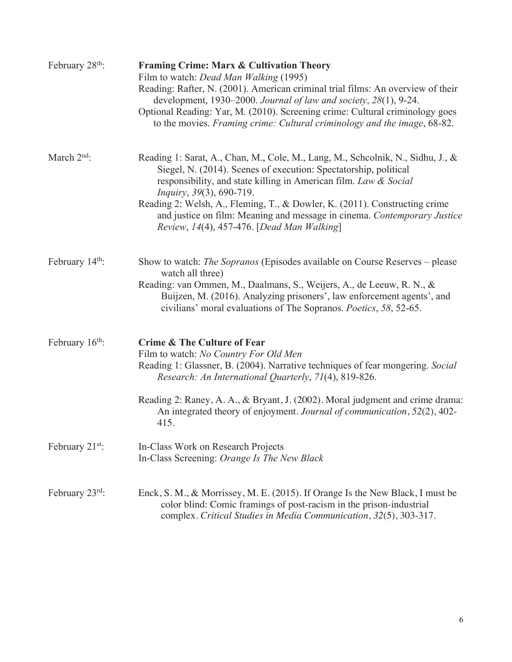| February 28 <sup>th</sup> : | <b>Framing Crime: Marx &amp; Cultivation Theory</b><br>Film to watch: Dead Man Walking (1995)<br>Reading: Rafter, N. (2001). American criminal trial films: An overview of their<br>development, 1930–2000. Journal of law and society, 28(1), 9-24.<br>Optional Reading: Yar, M. (2010). Screening crime: Cultural criminology goes<br>to the movies. Framing crime: Cultural criminology and the image, 68-82.                                                    |
|-----------------------------|---------------------------------------------------------------------------------------------------------------------------------------------------------------------------------------------------------------------------------------------------------------------------------------------------------------------------------------------------------------------------------------------------------------------------------------------------------------------|
| March $2nd$ :               | Reading 1: Sarat, A., Chan, M., Cole, M., Lang, M., Scheolnik, N., Sidhu, J., &<br>Siegel, N. (2014). Scenes of execution: Spectatorship, political<br>responsibility, and state killing in American film. Law & Social<br><i>Inquiry</i> , 39(3), 690-719.<br>Reading 2: Welsh, A., Fleming, T., & Dowler, K. (2011). Constructing crime<br>and justice on film: Meaning and message in cinema. Contemporary Justice<br>Review, 14(4), 457-476. [Dead Man Walking] |
| February 14 <sup>th</sup> : | Show to watch: <i>The Sopranos</i> (Episodes available on Course Reserves – please<br>watch all three)<br>Reading: van Ommen, M., Daalmans, S., Weijers, A., de Leeuw, R. N., &<br>Buijzen, M. (2016). Analyzing prisoners', law enforcement agents', and<br>civilians' moral evaluations of The Sopranos. Poetics, 58, 52-65.                                                                                                                                      |
| February $16th$ :           | <b>Crime &amp; The Culture of Fear</b><br>Film to watch: No Country For Old Men<br>Reading 1: Glassner, B. (2004). Narrative techniques of fear mongering. Social<br>Research: An International Quarterly, 71(4), 819-826.<br>Reading 2: Raney, A. A., & Bryant, J. (2002). Moral judgment and crime drama:<br>An integrated theory of enjoyment. Journal of communication, 52(2), 402-<br>415.                                                                     |
| February $21^{st}$ :        | In-Class Work on Research Projects<br>In-Class Screening: Orange Is The New Black                                                                                                                                                                                                                                                                                                                                                                                   |
| February 23rd:              | Enck, S. M., & Morrissey, M. E. (2015). If Orange Is the New Black, I must be<br>color blind: Comic framings of post-racism in the prison-industrial<br>complex. Critical Studies in Media Communication, 32(5), 303-317.                                                                                                                                                                                                                                           |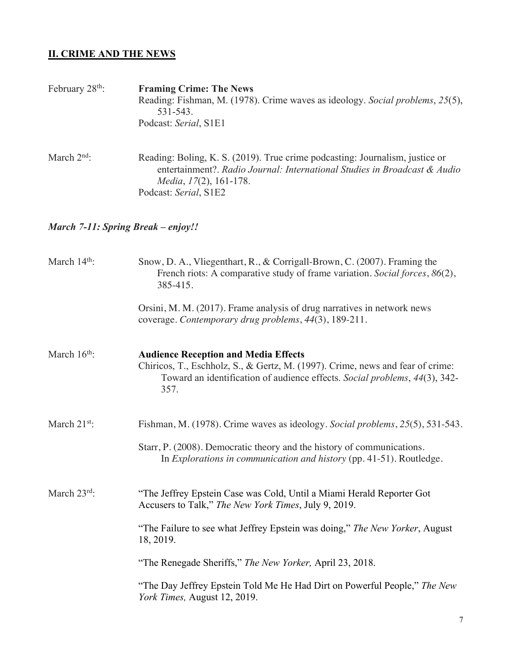# **II. CRIME AND THE NEWS**

| February $28th$ :        | <b>Framing Crime: The News</b><br>Reading: Fishman, M. (1978). Crime waves as ideology. Social problems, 25(5),<br>531-543.<br>Podcast: Serial, S1E1                                                                |
|--------------------------|---------------------------------------------------------------------------------------------------------------------------------------------------------------------------------------------------------------------|
| March $2nd$ :            | Reading: Boling, K. S. (2019). True crime podcasting: Journalism, justice or<br>entertainment?. Radio Journal: International Studies in Broadcast & Audio<br>Media, 17(2), 161-178.<br>Podcast: Serial, S1E2        |
|                          | March 7-11: Spring Break – enjoy!!                                                                                                                                                                                  |
| March 14th:              | Snow, D. A., Vliegenthart, R., & Corrigall-Brown, C. (2007). Framing the<br>French riots: A comparative study of frame variation. Social forces, 86(2),<br>385-415.                                                 |
|                          | Orsini, M. M. (2017). Frame analysis of drug narratives in network news<br>coverage. Contemporary drug problems, 44(3), 189-211.                                                                                    |
| March $16th$ :           | <b>Audience Reception and Media Effects</b><br>Chiricos, T., Eschholz, S., & Gertz, M. (1997). Crime, news and fear of crime:<br>Toward an identification of audience effects. Social problems, 44(3), 342-<br>357. |
| March 21 <sup>st</sup> : | Fishman, M. (1978). Crime waves as ideology. Social problems, 25(5), 531-543.                                                                                                                                       |
|                          | Starr, P. (2008). Democratic theory and the history of communications.<br>In Explorations in communication and history (pp. 41-51). Routledge.                                                                      |
| March $23^{rd}$ :        | "The Jeffrey Epstein Case was Cold, Until a Miami Herald Reporter Got<br>Accusers to Talk," The New York Times, July 9, 2019.                                                                                       |
|                          | "The Failure to see what Jeffrey Epstein was doing," The New Yorker, August<br>18, 2019.                                                                                                                            |
|                          | "The Renegade Sheriffs," The New Yorker, April 23, 2018.                                                                                                                                                            |
|                          | "The Day Jeffrey Epstein Told Me He Had Dirt on Powerful People," The New<br>York Times, August 12, 2019.                                                                                                           |